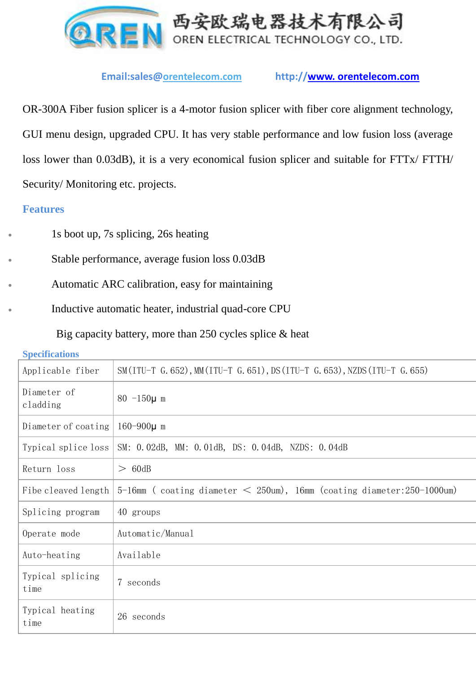

## **Email:sales@orentelecom.com http://www. orentelecom.com**

OR-300A Fiber fusion splicer is a 4-motor fusion splicer with fiber core alignment technology, GUI menu design, upgraded CPU. It has very stable performance and low fusion loss (average loss lower than 0.03dB), it is a very economical fusion splicer and suitable for FTTx/ FTTH/ Security/Monitoring etc. projects.

### **Features**

- 1s boot up, 7s splicing, 26s heating
- Stable performance, average fusion loss 0.03dB
- Automatic ARC calibration, easy for maintaining
	- Inductive automatic heater, industrial quad-core CPU

Big capacity battery, more than 250 cycles splice & heat

**Specifications**

| Applicable fiber         | SM(ITU-T G. 652), MM(ITU-T G. 651), DS(ITU-T G. 653), NZDS(ITU-T G. 655)  |
|--------------------------|---------------------------------------------------------------------------|
| Diameter of<br>cladding  | $80 - 150\mu$ m                                                           |
| Diameter of coating      | $160 - 900 \mu$ m                                                         |
| Typical splice loss      | SM: 0.02dB, MM: 0.01dB, DS: 0.04dB, NZDS: 0.04dB                          |
| Return loss              | > 60dB                                                                    |
| Fibe cleaved length      | $5-16$ mm (coating diameter < 250um), 16mm (coating diameter: 250-1000um) |
| Splicing program         | 40 groups                                                                 |
| Operate mode             | Automatic/Manual                                                          |
| Auto-heating             | Available                                                                 |
| Typical splicing<br>time | 7 seconds                                                                 |
| Typical heating<br>time  | 26 seconds                                                                |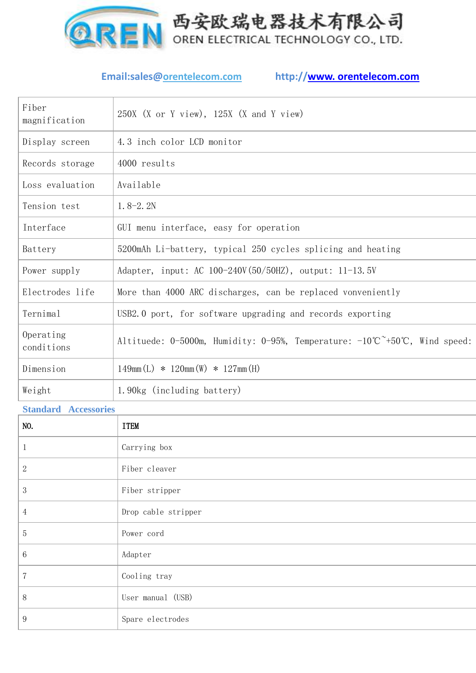

# **Email:sales@orentelecom.com http://www. orentelecom.com**

| 4.3 inch color LCD monitor<br>Display screen<br>4000 results<br>Records storage<br>Loss evaluation<br>Available<br>$1.8 - 2.2N$<br>Tension test<br>Interface<br>GUI menu interface, easy for operation<br>5200mAh Li-battery, typical 250 cycles splicing and heating<br>Battery<br>Adapter, input: AC 100-240V (50/50HZ), output: 11-13.5V<br>Power supply<br>Electrodes life<br>More than 4000 ARC discharges, can be replaced vonveniently<br>Ternimal<br>USB2.0 port, for software upgrading and records exporting<br>Operating<br>Altituede: 0-5000m, Humidity: 0-95%, Temperature: $-10^{\circ}C^{\sim}+50^{\circ}C$ , Wind speed:<br>conditions<br>Dimension<br>$149mm(L)$ * $120mm(W)$ * $127mm(H)$<br>1.90kg (including battery)<br>Weight | Fiber<br>magnification | 250X (X or Y view), 125X (X and Y view) |
|-----------------------------------------------------------------------------------------------------------------------------------------------------------------------------------------------------------------------------------------------------------------------------------------------------------------------------------------------------------------------------------------------------------------------------------------------------------------------------------------------------------------------------------------------------------------------------------------------------------------------------------------------------------------------------------------------------------------------------------------------------|------------------------|-----------------------------------------|
|                                                                                                                                                                                                                                                                                                                                                                                                                                                                                                                                                                                                                                                                                                                                                     |                        |                                         |
|                                                                                                                                                                                                                                                                                                                                                                                                                                                                                                                                                                                                                                                                                                                                                     |                        |                                         |
|                                                                                                                                                                                                                                                                                                                                                                                                                                                                                                                                                                                                                                                                                                                                                     |                        |                                         |
|                                                                                                                                                                                                                                                                                                                                                                                                                                                                                                                                                                                                                                                                                                                                                     |                        |                                         |
|                                                                                                                                                                                                                                                                                                                                                                                                                                                                                                                                                                                                                                                                                                                                                     |                        |                                         |
|                                                                                                                                                                                                                                                                                                                                                                                                                                                                                                                                                                                                                                                                                                                                                     |                        |                                         |
|                                                                                                                                                                                                                                                                                                                                                                                                                                                                                                                                                                                                                                                                                                                                                     |                        |                                         |
|                                                                                                                                                                                                                                                                                                                                                                                                                                                                                                                                                                                                                                                                                                                                                     |                        |                                         |
|                                                                                                                                                                                                                                                                                                                                                                                                                                                                                                                                                                                                                                                                                                                                                     |                        |                                         |
|                                                                                                                                                                                                                                                                                                                                                                                                                                                                                                                                                                                                                                                                                                                                                     |                        |                                         |
|                                                                                                                                                                                                                                                                                                                                                                                                                                                                                                                                                                                                                                                                                                                                                     |                        |                                         |
|                                                                                                                                                                                                                                                                                                                                                                                                                                                                                                                                                                                                                                                                                                                                                     |                        |                                         |

### **Standard Accessories**

| NO.            | <b>ITEM</b>         |
|----------------|---------------------|
| $\mathbf{I}$   | Carrying box        |
| $\sqrt{2}$     | Fiber cleaver       |
| 3              | Fiber stripper      |
| $\overline{4}$ | Drop cable stripper |
| $\sqrt{5}$     | Power cord          |
| $\,6\,$        | Adapter             |
| $\overline{7}$ | Cooling tray        |
| 8              | User manual (USB)   |
| 9              | Spare electrodes    |